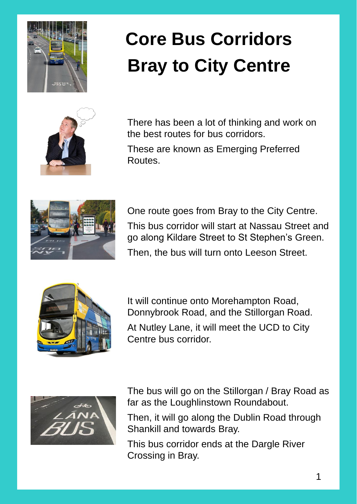

## **Core Bus Corridors Bray to City Centre**



There has been a lot of thinking and work on the best routes for bus corridors.

These are known as Emerging Preferred Routes.



One route goes from Bray to the City Centre. This bus corridor will start at Nassau Street and go along Kildare Street to St Stephen's Green. Then, the bus will turn onto Leeson Street.



It will continue onto Morehampton Road, Donnybrook Road, and the Stillorgan Road. At Nutley Lane, it will meet the UCD to City Centre bus corridor.



The bus will go on the Stillorgan / Bray Road as far as the Loughlinstown Roundabout.

Then, it will go along the Dublin Road through Shankill and towards Bray.

This bus corridor ends at the Dargle River Crossing in Bray.